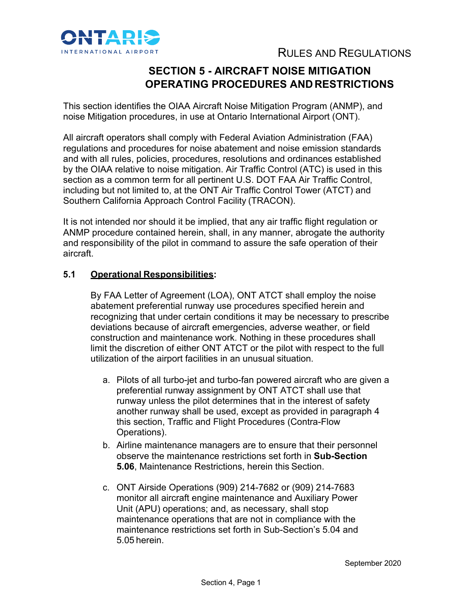

# **SECTION 5 - AIRCRAFT NOISE MITIGATION OPERATING PROCEDURES AND RESTRICTIONS**

This section identifies the OIAA Aircraft Noise Mitigation Program (ANMP), and noise Mitigation procedures, in use at Ontario International Airport (ONT).

All aircraft operators shall comply with Federal Aviation Administration (FAA) regulations and procedures for noise abatement and noise emission standards and with all rules, policies, procedures, resolutions and ordinances established by the OIAA relative to noise mitigation. Air Traffic Control (ATC) is used in this section as a common term for all pertinent U.S. DOT FAA Air Traffic Control, including but not limited to, at the ONT Air Traffic Control Tower (ATCT) and Southern California Approach Control Facility (TRACON).

It is not intended nor should it be implied, that any air traffic flight regulation or ANMP procedure contained herein, shall, in any manner, abrogate the authority and responsibility of the pilot in command to assure the safe operation of their aircraft.

# **5.1 Operational Responsibilities:**

By FAA Letter of Agreement (LOA), ONT ATCT shall employ the noise abatement preferential runway use procedures specified herein and recognizing that under certain conditions it may be necessary to prescribe deviations because of aircraft emergencies, adverse weather, or field construction and maintenance work. Nothing in these procedures shall limit the discretion of either ONT ATCT or the pilot with respect to the full utilization of the airport facilities in an unusual situation.

- a. Pilots of all turbo-jet and turbo-fan powered aircraft who are given a preferential runway assignment by ONT ATCT shall use that runway unless the pilot determines that in the interest of safety another runway shall be used, except as provided in paragraph 4 this section, Traffic and Flight Procedures (Contra-Flow Operations).
- b. Airline maintenance managers are to ensure that their personnel observe the maintenance restrictions set forth in **Sub-Section 5.06**, Maintenance Restrictions, herein this Section.
- c. ONT Airside Operations (909) 214-7682 or (909) 214-7683 monitor all aircraft engine maintenance and Auxiliary Power Unit (APU) operations; and, as necessary, shall stop maintenance operations that are not in compliance with the maintenance restrictions set forth in Sub-Section's 5.04 and 5.05 herein.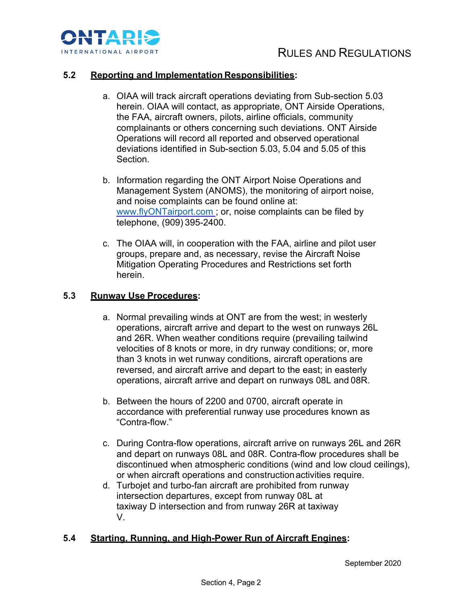

### **5.2 Reporting and Implementation Responsibilities:**

- a. OIAA will track aircraft operations deviating from Sub-section 5.03 herein. OIAA will contact, as appropriate, ONT Airside Operations, the FAA, aircraft owners, pilots, airline officials, community complainants or others concerning such deviations. ONT Airside Operations will record all reported and observed operational deviations identified in Sub-section 5.03, 5.04 and 5.05 of this Section.
- b. Information regarding the ONT Airport Noise Operations and Management System (ANOMS), the monitoring of airport noise, and noise complaints can be found online at: www.flyONTairport.com ; or, noise complaints can be filed by telephone, (909) 395-2400.
- c. The OIAA will, in cooperation with the FAA, airline and pilot user groups, prepare and, as necessary, revise the Aircraft Noise Mitigation Operating Procedures and Restrictions set forth herein.

#### **5.3 Runway Use Procedures:**

- a. Normal prevailing winds at ONT are from the west; in westerly operations, aircraft arrive and depart to the west on runways 26L and 26R. When weather conditions require (prevailing tailwind velocities of 8 knots or more, in dry runway conditions; or, more than 3 knots in wet runway conditions, aircraft operations are reversed, and aircraft arrive and depart to the east; in easterly operations, aircraft arrive and depart on runways 08L and 08R.
- b. Between the hours of 2200 and 0700, aircraft operate in accordance with preferential runway use procedures known as "Contra-flow."
- c. During Contra-flow operations, aircraft arrive on runways 26L and 26R and depart on runways 08L and 08R. Contra-flow procedures shall be discontinued when atmospheric conditions (wind and low cloud ceilings), or when aircraft operations and constructionactivities require.
- d. Turbojet and turbo-fan aircraft are prohibited from runway intersection departures, except from runway 08L at taxiway D intersection and from runway 26R at taxiway V.

### **5.4 Starting, Running, and High-Power Run of Aircraft Engines:**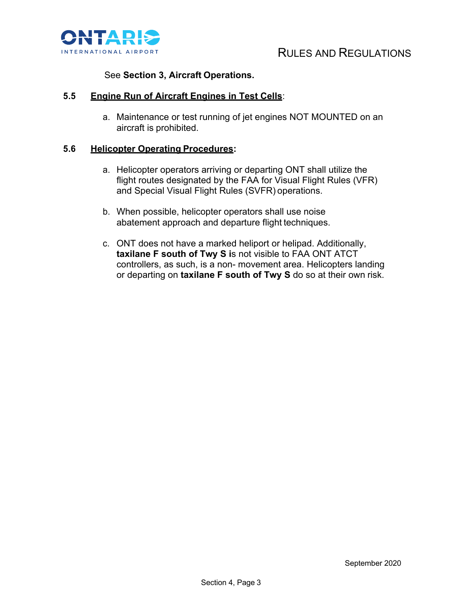

# See **Section 3, Aircraft Operations.**

### **5.5 Engine Run of Aircraft Engines in Test Cells**:

a. Maintenance or test running of jet engines NOT MOUNTED on an aircraft is prohibited.

#### **5.6 Helicopter Operating Procedures:**

- a. Helicopter operators arriving or departing ONT shall utilize the flight routes designated by the FAA for Visual Flight Rules (VFR) and Special Visual Flight Rules (SVFR) operations.
- b. When possible, helicopter operators shall use noise abatement approach and departure flight techniques.
- c. ONT does not have a marked heliport or helipad. Additionally, **taxilane F south of Twy S i**s not visible to FAA ONT ATCT controllers, as such, is a non- movement area. Helicopters landing or departing on **taxilane F south of Twy S** do so at their own risk.